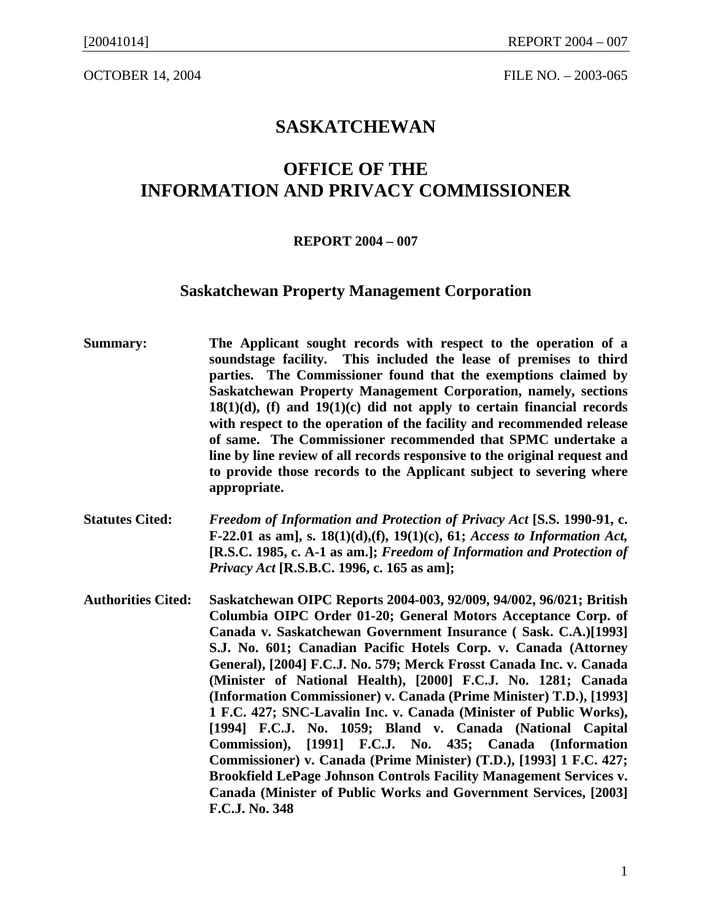OCTOBER 14, 2004 **FILE NO.** – 2003-065

## **SASKATCHEWAN**

# **OFFICE OF THE INFORMATION AND PRIVACY COMMISSIONER**

#### **REPORT 2004 – 007**

### **Saskatchewan Property Management Corporation**

- **Summary: The Applicant sought records with respect to the operation of a soundstage facility. This included the lease of premises to third parties. The Commissioner found that the exemptions claimed by Saskatchewan Property Management Corporation, namely, sections 18(1)(d), (f) and 19(1)(c) did not apply to certain financial records with respect to the operation of the facility and recommended release of same. The Commissioner recommended that SPMC undertake a line by line review of all records responsive to the original request and to provide those records to the Applicant subject to severing where appropriate.**
- **Statutes Cited:** *Freedom of Information and Protection of Privacy Act* **[S.S. 1990-91, c. F-22.01 as am], s. 18(1)(d),(f), 19(1)(c), 61;** *Access to Information Act,* **[R.S.C. 1985, c. A-1 as am.];** *Freedom of Information and Protection of Privacy Act* **[R.S.B.C. 1996, c. 165 as am];**
- **Authorities Cited: Saskatchewan OIPC Reports 2004-003, 92/009, 94/002, 96/021; British Columbia OIPC Order 01-20; General Motors Acceptance Corp. of Canada v. Saskatchewan Government Insurance ( Sask. C.A.)[1993] S.J. No. 601; Canadian Pacific Hotels Corp. v. Canada (Attorney General), [2004] F.C.J. No. 579; Merck Frosst Canada Inc. v. Canada (Minister of National Health), [2000] F.C.J. No. 1281; Canada (Information Commissioner) v. Canada (Prime Minister) T.D.), [1993] 1 F.C. 427; SNC-Lavalin Inc. v. Canada (Minister of Public Works), [1994] F.C.J. No. 1059; Bland v. Canada (National Capital Commission), [1991] F.C.J. No. 435; Canada (Information Commissioner) v. Canada (Prime Minister) (T.D.), [1993] 1 F.C. 427; Brookfield LePage Johnson Controls Facility Management Services v. Canada (Minister of Public Works and Government Services, [2003] F.C.J. No. 348**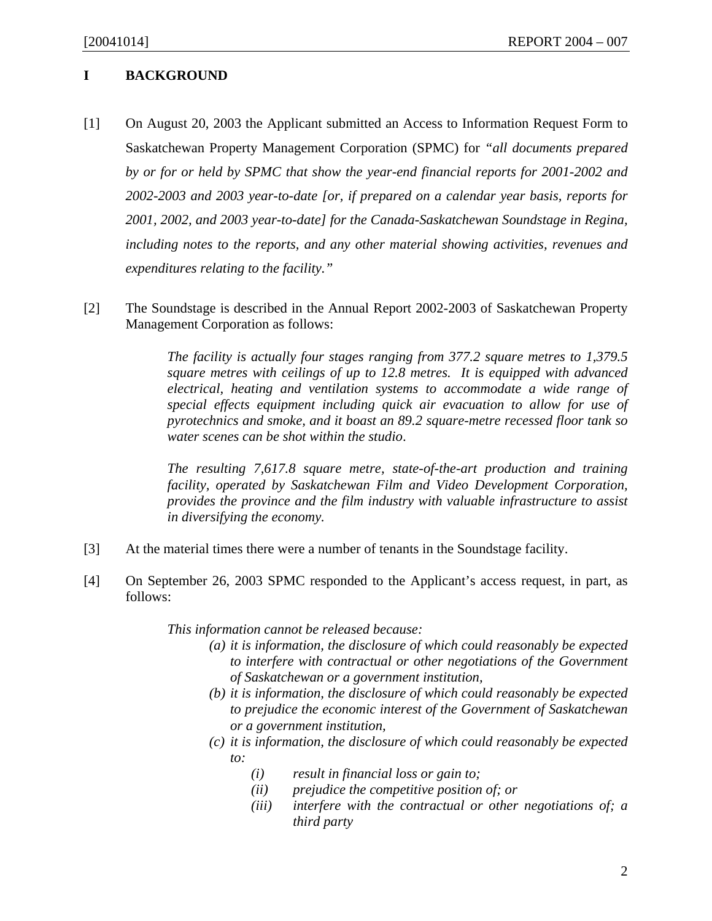### **I BACKGROUND**

- [1] On August 20, 2003 the Applicant submitted an Access to Information Request Form to Saskatchewan Property Management Corporation (SPMC) for *"all documents prepared by or for or held by SPMC that show the year-end financial reports for 2001-2002 and 2002-2003 and 2003 year-to-date [or, if prepared on a calendar year basis, reports for 2001, 2002, and 2003 year-to-date] for the Canada-Saskatchewan Soundstage in Regina, including notes to the reports, and any other material showing activities, revenues and expenditures relating to the facility."*
- [2] The Soundstage is described in the Annual Report 2002-2003 of Saskatchewan Property Management Corporation as follows:

*The facility is actually four stages ranging from 377.2 square metres to 1,379.5 square metres with ceilings of up to 12.8 metres. It is equipped with advanced electrical, heating and ventilation systems to accommodate a wide range of special effects equipment including quick air evacuation to allow for use of pyrotechnics and smoke, and it boast an 89.2 square-metre recessed floor tank so water scenes can be shot within the studio*.

*The resulting 7,617.8 square metre, state-of-the-art production and training facility, operated by Saskatchewan Film and Video Development Corporation, provides the province and the film industry with valuable infrastructure to assist in diversifying the economy.* 

- [3] At the material times there were a number of tenants in the Soundstage facility.
- [4] On September 26, 2003 SPMC responded to the Applicant's access request, in part, as follows:

*This information cannot be released because:* 

- *(a) it is information, the disclosure of which could reasonably be expected to interfere with contractual or other negotiations of the Government of Saskatchewan or a government institution,*
- *(b) it is information, the disclosure of which could reasonably be expected to prejudice the economic interest of the Government of Saskatchewan or a government institution,*
- *(c) it is information, the disclosure of which could reasonably be expected to:* 
	- *(i) result in financial loss or gain to;*
	- *(ii) prejudice the competitive position of; or*
	- *(iii) interfere with the contractual or other negotiations of; a third party*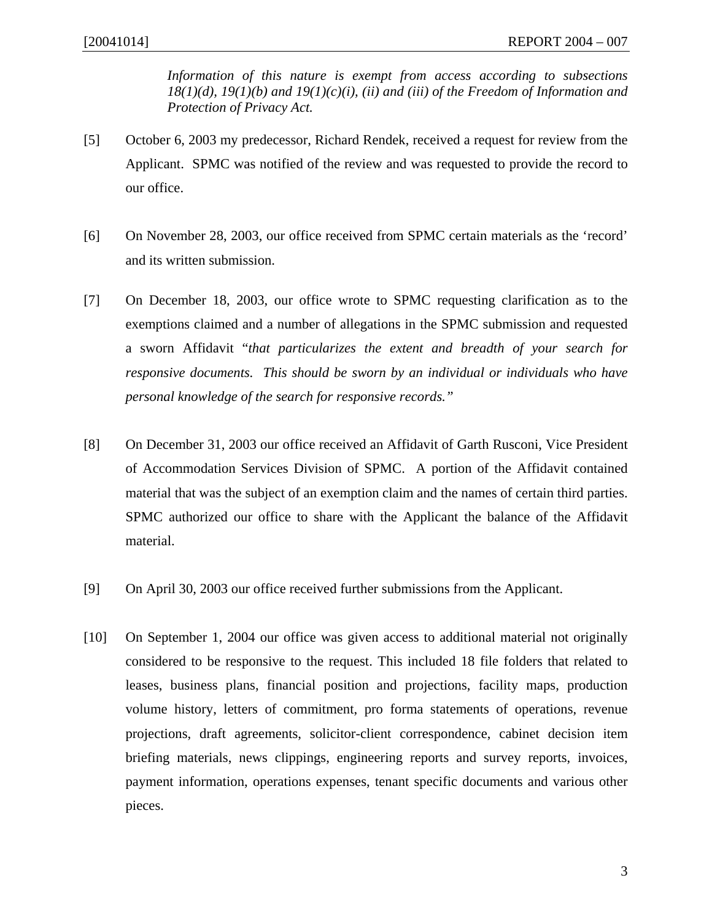*Information of this nature is exempt from access according to subsections 18(1)(d), 19(1)(b) and 19(1)(c)(i), (ii) and (iii) of the Freedom of Information and Protection of Privacy Act.*

- [5] October 6, 2003 my predecessor, Richard Rendek, received a request for review from the Applicant. SPMC was notified of the review and was requested to provide the record to our office.
- [6] On November 28, 2003, our office received from SPMC certain materials as the 'record' and its written submission.
- [7] On December 18, 2003, our office wrote to SPMC requesting clarification as to the exemptions claimed and a number of allegations in the SPMC submission and requested a sworn Affidavit "*that particularizes the extent and breadth of your search for responsive documents. This should be sworn by an individual or individuals who have personal knowledge of the search for responsive records."*
- [8] On December 31, 2003 our office received an Affidavit of Garth Rusconi, Vice President of Accommodation Services Division of SPMC. A portion of the Affidavit contained material that was the subject of an exemption claim and the names of certain third parties. SPMC authorized our office to share with the Applicant the balance of the Affidavit material.
- [9] On April 30, 2003 our office received further submissions from the Applicant.
- [10] On September 1, 2004 our office was given access to additional material not originally considered to be responsive to the request. This included 18 file folders that related to leases, business plans, financial position and projections, facility maps, production volume history, letters of commitment, pro forma statements of operations, revenue projections, draft agreements, solicitor-client correspondence, cabinet decision item briefing materials, news clippings, engineering reports and survey reports, invoices, payment information, operations expenses, tenant specific documents and various other pieces.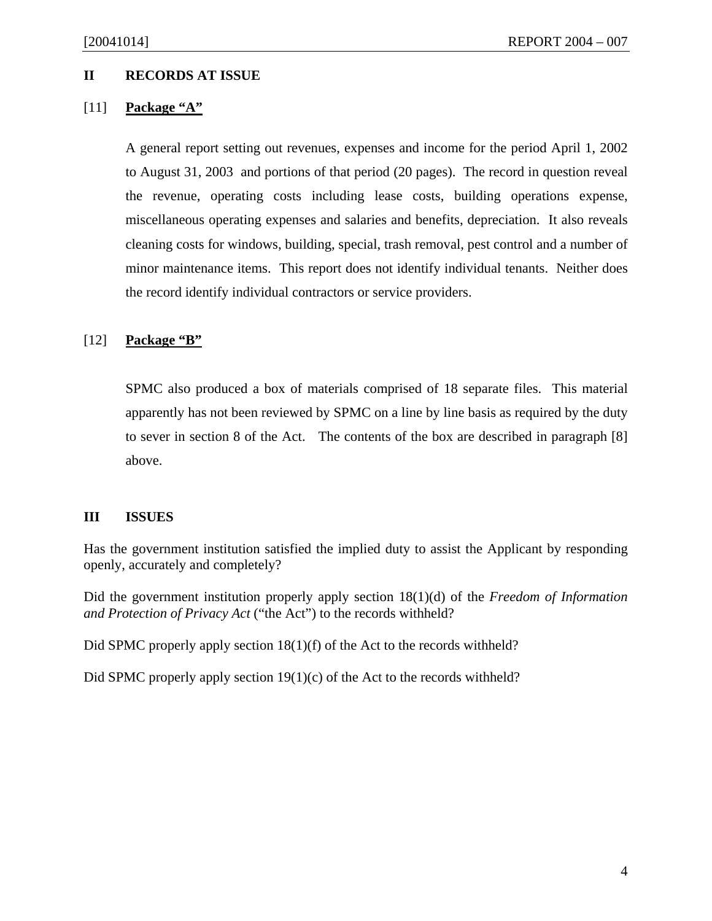### **II RECORDS AT ISSUE**

### [11] **Package "A"**

A general report setting out revenues, expenses and income for the period April 1, 2002 to August 31, 2003 and portions of that period (20 pages). The record in question reveal the revenue, operating costs including lease costs, building operations expense, miscellaneous operating expenses and salaries and benefits, depreciation. It also reveals cleaning costs for windows, building, special, trash removal, pest control and a number of minor maintenance items. This report does not identify individual tenants. Neither does the record identify individual contractors or service providers.

### [12] **Package "B"**

SPMC also produced a box of materials comprised of 18 separate files. This material apparently has not been reviewed by SPMC on a line by line basis as required by the duty to sever in section 8 of the Act. The contents of the box are described in paragraph [8] above.

### **III ISSUES**

Has the government institution satisfied the implied duty to assist the Applicant by responding openly, accurately and completely?

Did the government institution properly apply section 18(1)(d) of the *Freedom of Information and Protection of Privacy Act* ("the Act") to the records withheld?

Did SPMC properly apply section 18(1)(f) of the Act to the records withheld?

Did SPMC properly apply section 19(1)(c) of the Act to the records withheld?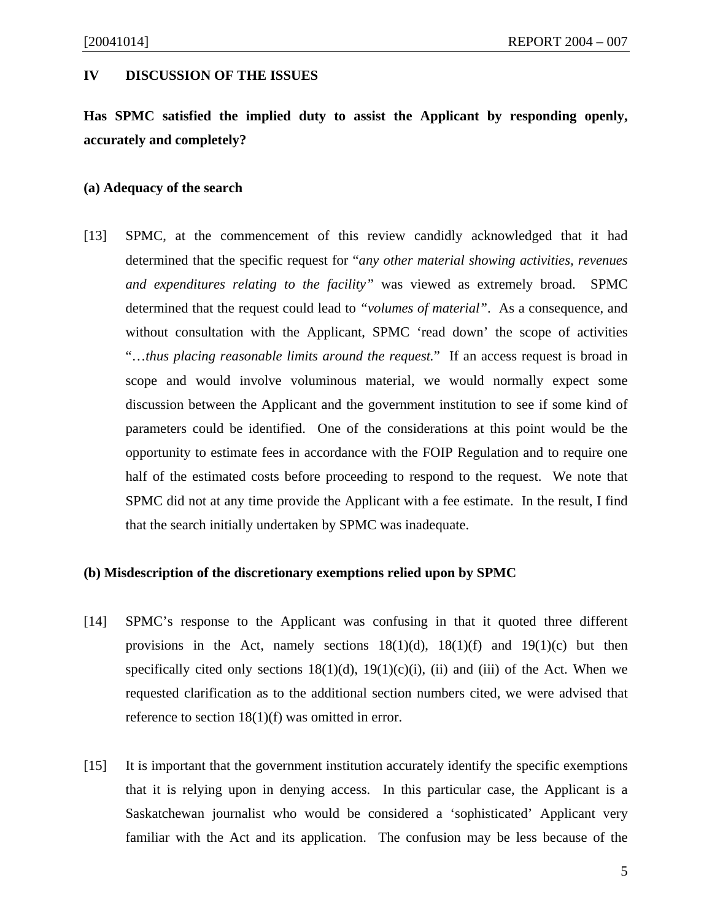#### **IV DISCUSSION OF THE ISSUES**

**Has SPMC satisfied the implied duty to assist the Applicant by responding openly, accurately and completely?** 

#### **(a) Adequacy of the search**

[13] SPMC, at the commencement of this review candidly acknowledged that it had determined that the specific request for "*any other material showing activities, revenues and expenditures relating to the facility"* was viewed as extremely broad. SPMC determined that the request could lead to *"volumes of material"*. As a consequence, and without consultation with the Applicant, SPMC 'read down' the scope of activities "…*thus placing reasonable limits around the request.*" If an access request is broad in scope and would involve voluminous material, we would normally expect some discussion between the Applicant and the government institution to see if some kind of parameters could be identified. One of the considerations at this point would be the opportunity to estimate fees in accordance with the FOIP Regulation and to require one half of the estimated costs before proceeding to respond to the request. We note that SPMC did not at any time provide the Applicant with a fee estimate. In the result, I find that the search initially undertaken by SPMC was inadequate.

#### **(b) Misdescription of the discretionary exemptions relied upon by SPMC**

- [14] SPMC's response to the Applicant was confusing in that it quoted three different provisions in the Act, namely sections  $18(1)(d)$ ,  $18(1)(f)$  and  $19(1)(c)$  but then specifically cited only sections  $18(1)(d)$ ,  $19(1)(c)(i)$ , (ii) and (iii) of the Act. When we requested clarification as to the additional section numbers cited, we were advised that reference to section 18(1)(f) was omitted in error.
- [15] It is important that the government institution accurately identify the specific exemptions that it is relying upon in denying access. In this particular case, the Applicant is a Saskatchewan journalist who would be considered a 'sophisticated' Applicant very familiar with the Act and its application. The confusion may be less because of the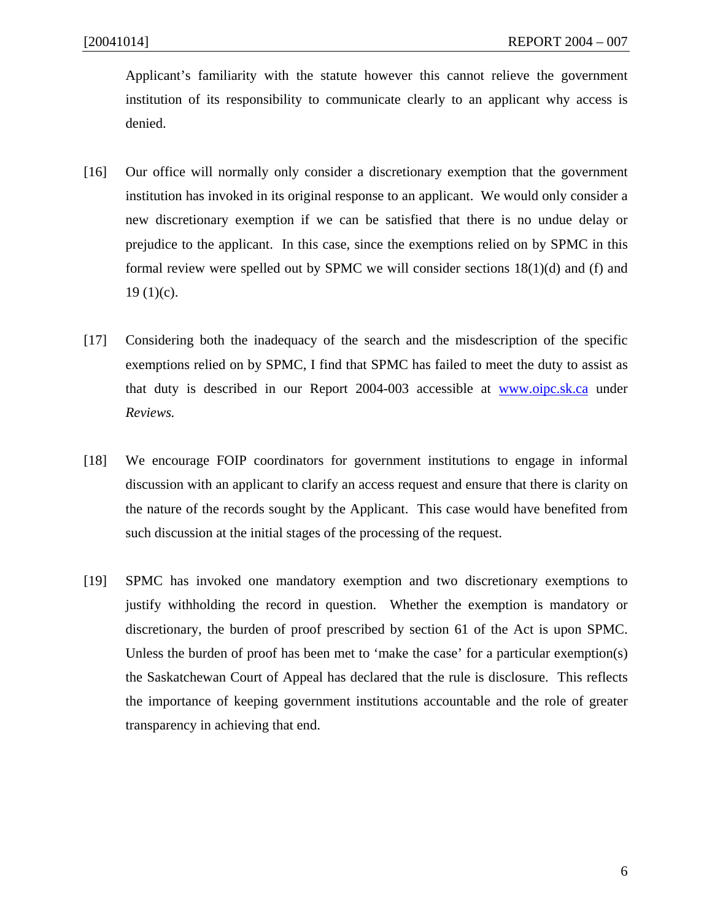Applicant's familiarity with the statute however this cannot relieve the government institution of its responsibility to communicate clearly to an applicant why access is denied.

- [16] Our office will normally only consider a discretionary exemption that the government institution has invoked in its original response to an applicant. We would only consider a new discretionary exemption if we can be satisfied that there is no undue delay or prejudice to the applicant. In this case, since the exemptions relied on by SPMC in this formal review were spelled out by SPMC we will consider sections 18(1)(d) and (f) and  $19(1)(c)$ .
- [17] Considering both the inadequacy of the search and the misdescription of the specific exemptions relied on by SPMC, I find that SPMC has failed to meet the duty to assist as that duty is described in our Report 2004-003 accessible at www.oipc.sk.ca under *Reviews.*
- [18] We encourage FOIP coordinators for government institutions to engage in informal discussion with an applicant to clarify an access request and ensure that there is clarity on the nature of the records sought by the Applicant. This case would have benefited from such discussion at the initial stages of the processing of the request.
- [19] SPMC has invoked one mandatory exemption and two discretionary exemptions to justify withholding the record in question. Whether the exemption is mandatory or discretionary, the burden of proof prescribed by section 61 of the Act is upon SPMC. Unless the burden of proof has been met to 'make the case' for a particular exemption(s) the Saskatchewan Court of Appeal has declared that the rule is disclosure. This reflects the importance of keeping government institutions accountable and the role of greater transparency in achieving that end.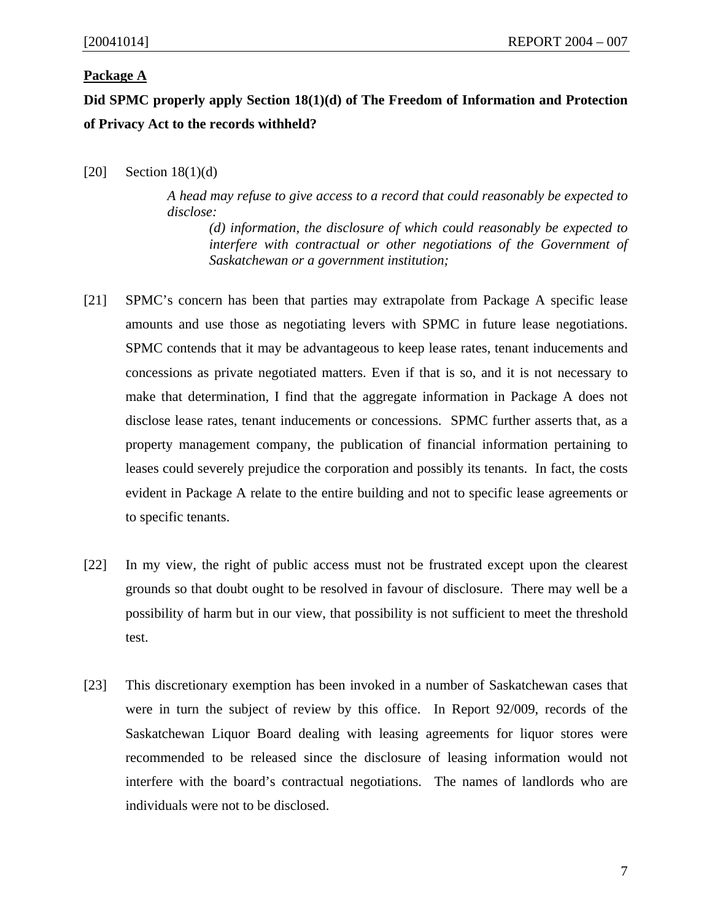### **Package A**

**Did SPMC properly apply Section 18(1)(d) of The Freedom of Information and Protection of Privacy Act to the records withheld?** 

 $[20]$  Section 18(1)(d)

*A head may refuse to give access to a record that could reasonably be expected to disclose:* 

 *(d) information, the disclosure of which could reasonably be expected to interfere with contractual or other negotiations of the Government of Saskatchewan or a government institution;* 

- [21] SPMC's concern has been that parties may extrapolate from Package A specific lease amounts and use those as negotiating levers with SPMC in future lease negotiations. SPMC contends that it may be advantageous to keep lease rates, tenant inducements and concessions as private negotiated matters. Even if that is so, and it is not necessary to make that determination, I find that the aggregate information in Package A does not disclose lease rates, tenant inducements or concessions. SPMC further asserts that, as a property management company, the publication of financial information pertaining to leases could severely prejudice the corporation and possibly its tenants. In fact, the costs evident in Package A relate to the entire building and not to specific lease agreements or to specific tenants.
- [22] In my view, the right of public access must not be frustrated except upon the clearest grounds so that doubt ought to be resolved in favour of disclosure. There may well be a possibility of harm but in our view, that possibility is not sufficient to meet the threshold test.
- [23] This discretionary exemption has been invoked in a number of Saskatchewan cases that were in turn the subject of review by this office. In Report 92/009, records of the Saskatchewan Liquor Board dealing with leasing agreements for liquor stores were recommended to be released since the disclosure of leasing information would not interfere with the board's contractual negotiations. The names of landlords who are individuals were not to be disclosed.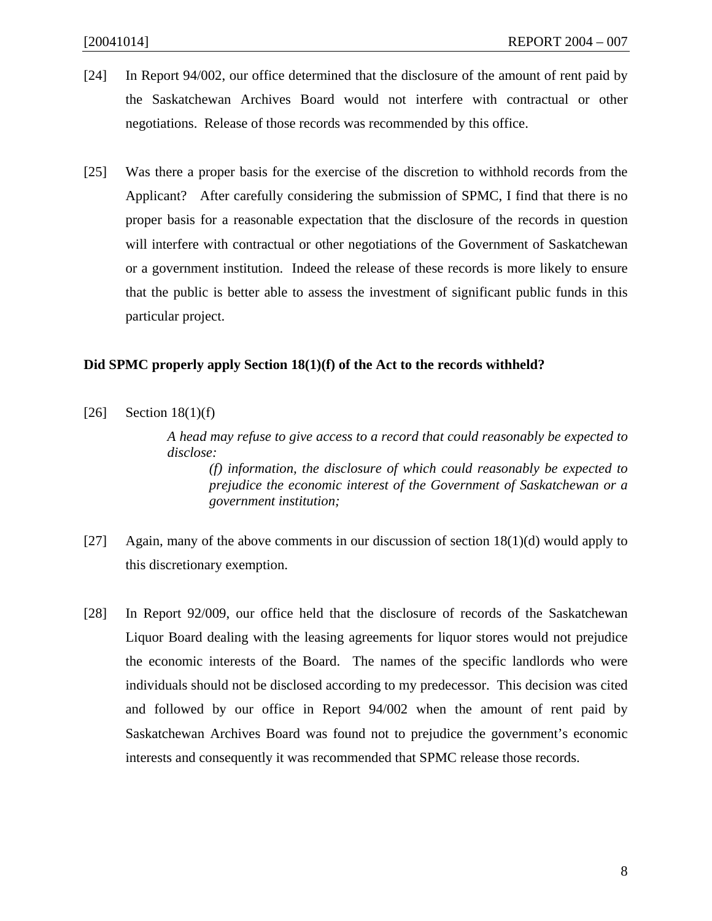- [24] In Report 94/002, our office determined that the disclosure of the amount of rent paid by the Saskatchewan Archives Board would not interfere with contractual or other negotiations. Release of those records was recommended by this office.
- [25] Was there a proper basis for the exercise of the discretion to withhold records from the Applicant? After carefully considering the submission of SPMC, I find that there is no proper basis for a reasonable expectation that the disclosure of the records in question will interfere with contractual or other negotiations of the Government of Saskatchewan or a government institution. Indeed the release of these records is more likely to ensure that the public is better able to assess the investment of significant public funds in this particular project.

### **Did SPMC properly apply Section 18(1)(f) of the Act to the records withheld?**

 $[26]$  Section 18(1)(f)

*A head may refuse to give access to a record that could reasonably be expected to disclose:* 

 *(f) information, the disclosure of which could reasonably be expected to prejudice the economic interest of the Government of Saskatchewan or a government institution;* 

- [27] Again, many of the above comments in our discussion of section  $18(1)(d)$  would apply to this discretionary exemption.
- [28] In Report 92/009, our office held that the disclosure of records of the Saskatchewan Liquor Board dealing with the leasing agreements for liquor stores would not prejudice the economic interests of the Board. The names of the specific landlords who were individuals should not be disclosed according to my predecessor. This decision was cited and followed by our office in Report 94/002 when the amount of rent paid by Saskatchewan Archives Board was found not to prejudice the government's economic interests and consequently it was recommended that SPMC release those records.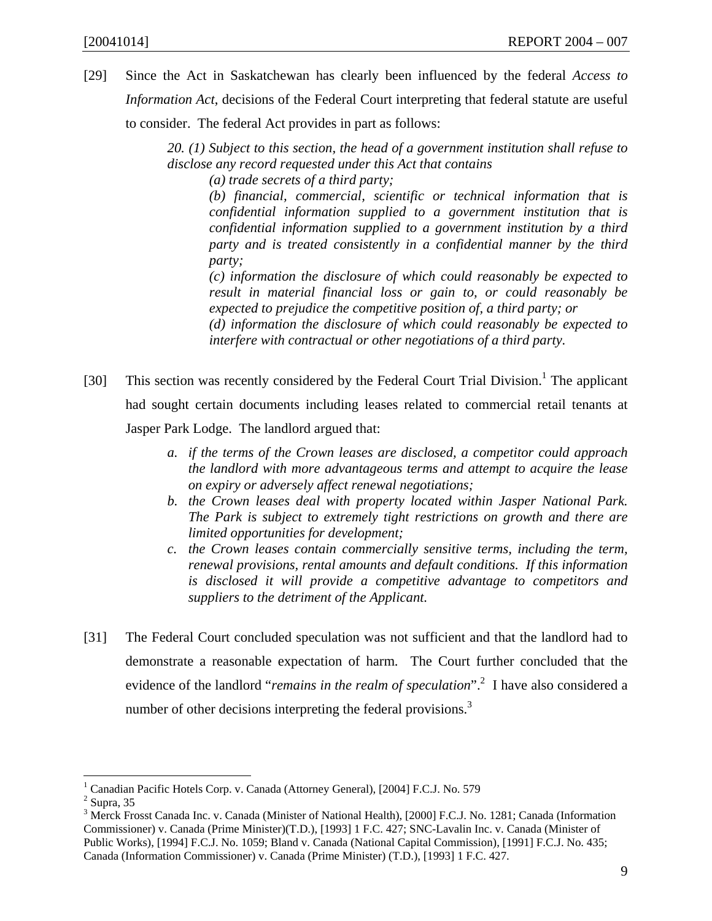[29] Since the Act in Saskatchewan has clearly been influenced by the federal *Access to Information Act*, decisions of the Federal Court interpreting that federal statute are useful to consider. The federal Act provides in part as follows:

> *20. (1) Subject to this section, the head of a government institution shall refuse to disclose any record requested under this Act that contains*

 *(a) trade secrets of a third party;* 

*(b) financial, commercial, scientific or technical information that is confidential information supplied to a government institution that is confidential information supplied to a government institution by a third party and is treated consistently in a confidential manner by the third party;* 

*(c) information the disclosure of which could reasonably be expected to result in material financial loss or gain to, or could reasonably be expected to prejudice the competitive position of, a third party; or* 

*(d) information the disclosure of which could reasonably be expected to interfere with contractual or other negotiations of a third party.* 

- [30] This section was recently considered by the Federal Court Trial Division.<sup>1</sup> The applicant had sought certain documents including leases related to commercial retail tenants at Jasper Park Lodge. The landlord argued that:
	- *a. if the terms of the Crown leases are disclosed, a competitor could approach the landlord with more advantageous terms and attempt to acquire the lease on expiry or adversely affect renewal negotiations;*
	- *b. the Crown leases deal with property located within Jasper National Park. The Park is subject to extremely tight restrictions on growth and there are limited opportunities for development;*
	- *c. the Crown leases contain commercially sensitive terms, including the term, renewal provisions, rental amounts and default conditions. If this information is disclosed it will provide a competitive advantage to competitors and suppliers to the detriment of the Applicant.*
- [31] The Federal Court concluded speculation was not sufficient and that the landlord had to demonstrate a reasonable expectation of harm. The Court further concluded that the evidence of the landlord "*remains in the realm of speculation*".<sup>2</sup> I have also considered a number of other decisions interpreting the federal provisions.<sup>3</sup>

<sup>&</sup>lt;sup>1</sup> Canadian Pacific Hotels Corp. v. Canada (Attorney General), [2004] F.C.J. No. 579

 $<sup>2</sup>$  Supra, 35</sup>

<sup>&</sup>lt;sup>3</sup> Merck Frosst Canada Inc. v. Canada (Minister of National Health), [2000] F.C.J. No. 1281; Canada (Information Commissioner) v. Canada (Prime Minister)(T.D.), [1993] 1 F.C. 427; SNC-Lavalin Inc. v. Canada (Minister of Public Works), [1994] F.C.J. No. 1059; Bland v. Canada (National Capital Commission), [1991] F.C.J. No. 435; Canada (Information Commissioner) v. Canada (Prime Minister) (T.D.), [1993] 1 F.C. 427.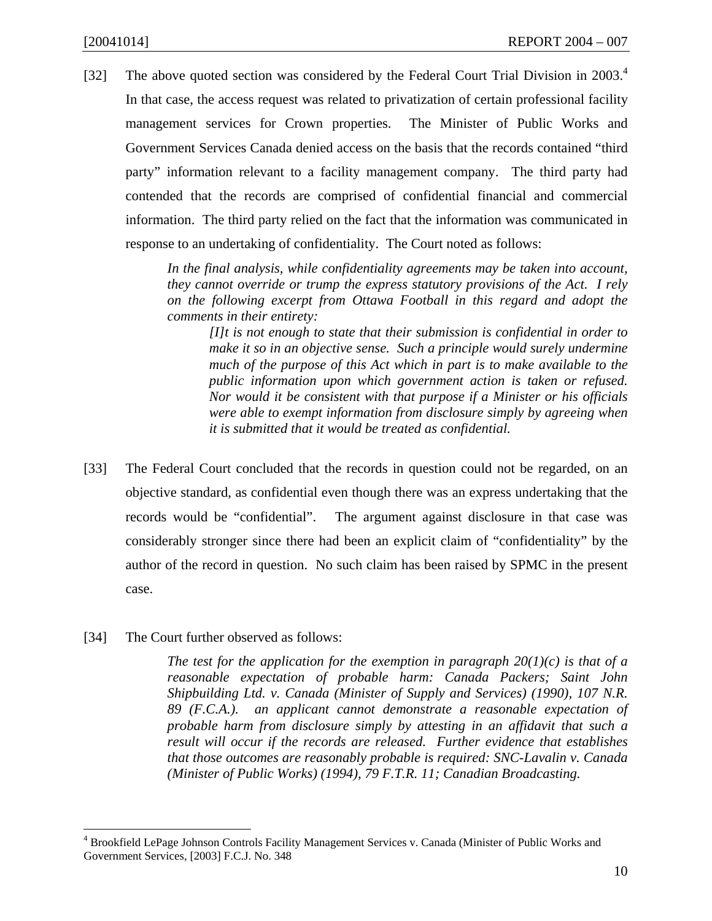[32] The above quoted section was considered by the Federal Court Trial Division in 2003.<sup>4</sup> In that case, the access request was related to privatization of certain professional facility management services for Crown properties. The Minister of Public Works and Government Services Canada denied access on the basis that the records contained "third party" information relevant to a facility management company. The third party had contended that the records are comprised of confidential financial and commercial information. The third party relied on the fact that the information was communicated in response to an undertaking of confidentiality. The Court noted as follows:

> *In the final analysis, while confidentiality agreements may be taken into account, they cannot override or trump the express statutory provisions of the Act. I rely on the following excerpt from Ottawa Football in this regard and adopt the comments in their entirety:*

*[I]t is not enough to state that their submission is confidential in order to make it so in an objective sense. Such a principle would surely undermine much of the purpose of this Act which in part is to make available to the public information upon which government action is taken or refused. Nor would it be consistent with that purpose if a Minister or his officials were able to exempt information from disclosure simply by agreeing when it is submitted that it would be treated as confidential.* 

- [33] The Federal Court concluded that the records in question could not be regarded, on an objective standard, as confidential even though there was an express undertaking that the records would be "confidential". The argument against disclosure in that case was considerably stronger since there had been an explicit claim of "confidentiality" by the author of the record in question. No such claim has been raised by SPMC in the present case.
- [34] The Court further observed as follows:

*The test for the application for the exemption in paragraph*  $20(1)(c)$  *is that of a reasonable expectation of probable harm: Canada Packers; Saint John Shipbuilding Ltd. v. Canada (Minister of Supply and Services) (1990), 107 N.R. 89 (F.C.A.). an applicant cannot demonstrate a reasonable expectation of probable harm from disclosure simply by attesting in an affidavit that such a result will occur if the records are released. Further evidence that establishes that those outcomes are reasonably probable is required: SNC-Lavalin v. Canada (Minister of Public Works) (1994), 79 F.T.R. 11; Canadian Broadcasting.* 

 4 Brookfield LePage Johnson Controls Facility Management Services v. Canada (Minister of Public Works and Government Services, [2003] F.C.J. No. 348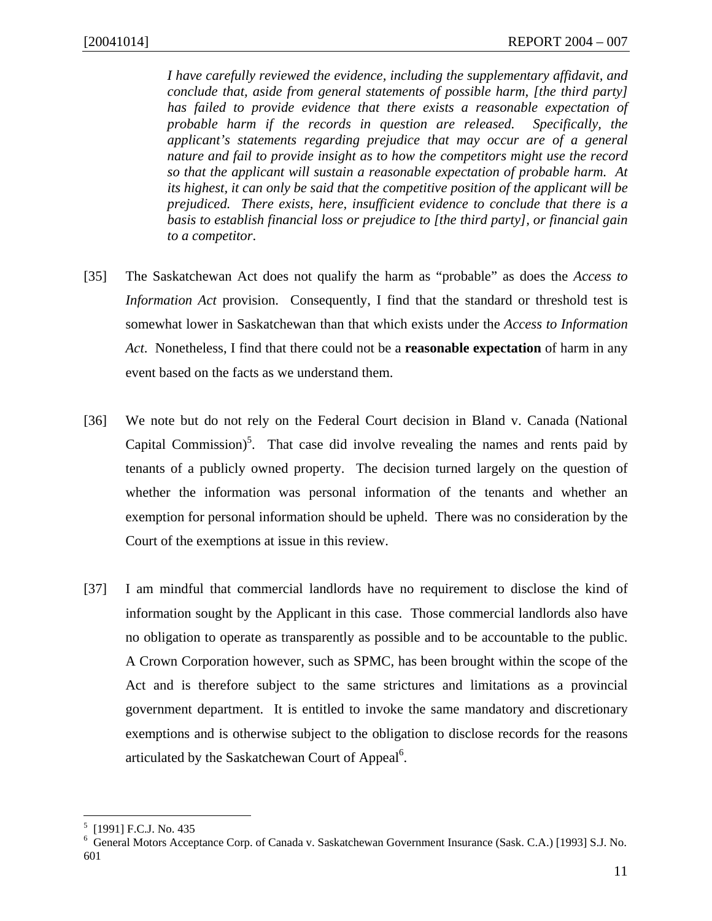*I have carefully reviewed the evidence, including the supplementary affidavit, and conclude that, aside from general statements of possible harm, [the third party] has failed to provide evidence that there exists a reasonable expectation of probable harm if the records in question are released. Specifically, the applicant's statements regarding prejudice that may occur are of a general nature and fail to provide insight as to how the competitors might use the record so that the applicant will sustain a reasonable expectation of probable harm. At its highest, it can only be said that the competitive position of the applicant will be prejudiced. There exists, here, insufficient evidence to conclude that there is a basis to establish financial loss or prejudice to [the third party], or financial gain to a competitor*.

- [35] The Saskatchewan Act does not qualify the harm as "probable" as does the *Access to Information Act* provision. Consequently, I find that the standard or threshold test is somewhat lower in Saskatchewan than that which exists under the *Access to Information Act*. Nonetheless, I find that there could not be a **reasonable expectation** of harm in any event based on the facts as we understand them.
- [36] We note but do not rely on the Federal Court decision in Bland v. Canada (National Capital Commission)<sup>5</sup>. That case did involve revealing the names and rents paid by tenants of a publicly owned property. The decision turned largely on the question of whether the information was personal information of the tenants and whether an exemption for personal information should be upheld. There was no consideration by the Court of the exemptions at issue in this review.
- [37] I am mindful that commercial landlords have no requirement to disclose the kind of information sought by the Applicant in this case. Those commercial landlords also have no obligation to operate as transparently as possible and to be accountable to the public. A Crown Corporation however, such as SPMC, has been brought within the scope of the Act and is therefore subject to the same strictures and limitations as a provincial government department. It is entitled to invoke the same mandatory and discretionary exemptions and is otherwise subject to the obligation to disclose records for the reasons articulated by the Saskatchewan Court of Appeal<sup>6</sup>.

<sup>5</sup> [1991] F.C.J. No. 435

<sup>6</sup> General Motors Acceptance Corp. of Canada v. Saskatchewan Government Insurance (Sask. C.A.) [1993] S.J. No. 601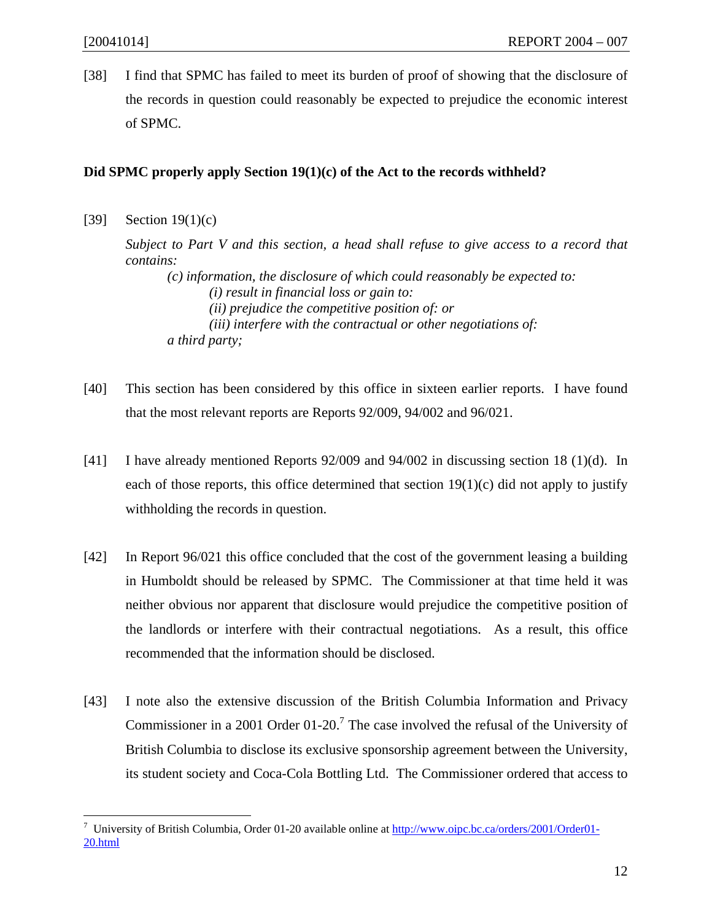[38] I find that SPMC has failed to meet its burden of proof of showing that the disclosure of the records in question could reasonably be expected to prejudice the economic interest of SPMC.

### **Did SPMC properly apply Section 19(1)(c) of the Act to the records withheld?**

[39] Section 19(1)(c)

1

*Subject to Part V and this section, a head shall refuse to give access to a record that contains:* 

 *(c) information, the disclosure of which could reasonably be expected to: (i) result in financial loss or gain to: (ii) prejudice the competitive position of: or (iii) interfere with the contractual or other negotiations of: a third party;* 

- [40] This section has been considered by this office in sixteen earlier reports. I have found that the most relevant reports are Reports 92/009, 94/002 and 96/021.
- [41] I have already mentioned Reports 92/009 and 94/002 in discussing section 18 (1)(d). In each of those reports, this office determined that section  $19(1)(c)$  did not apply to justify withholding the records in question.
- [42] In Report 96/021 this office concluded that the cost of the government leasing a building in Humboldt should be released by SPMC. The Commissioner at that time held it was neither obvious nor apparent that disclosure would prejudice the competitive position of the landlords or interfere with their contractual negotiations. As a result, this office recommended that the information should be disclosed.
- [43] I note also the extensive discussion of the British Columbia Information and Privacy Commissioner in a 2001 Order  $01$ -20.<sup>7</sup> The case involved the refusal of the University of British Columbia to disclose its exclusive sponsorship agreement between the University, its student society and Coca-Cola Bottling Ltd. The Commissioner ordered that access to

<sup>&</sup>lt;sup>7</sup> University of British Columbia, Order 01-20 available online at http://www.oipc.bc.ca/orders/2001/Order01-20.html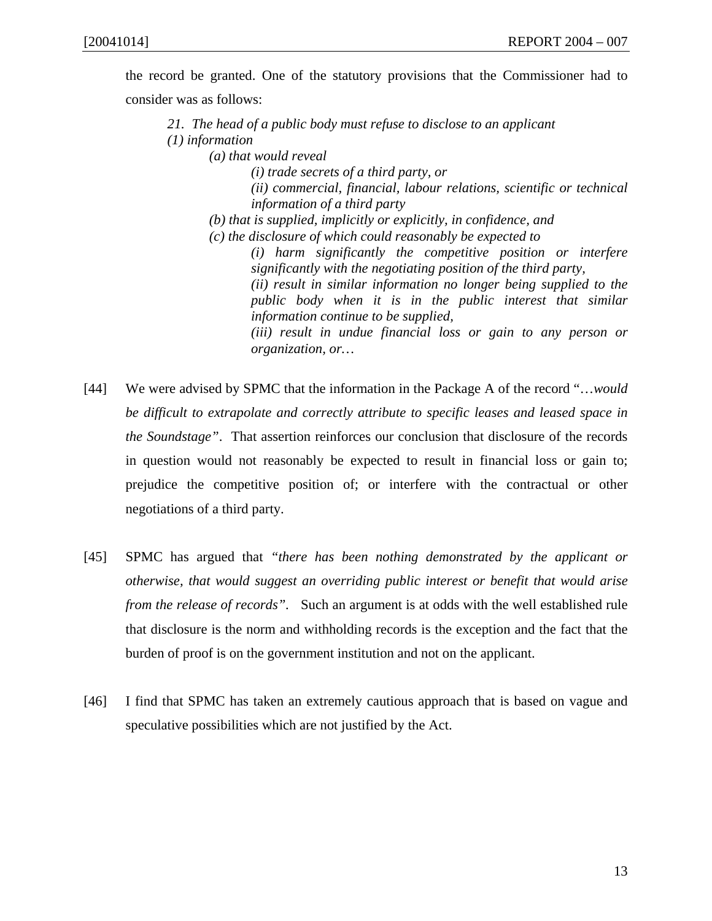the record be granted. One of the statutory provisions that the Commissioner had to consider was as follows:

*21. The head of a public body must refuse to disclose to an applicant (1) information (a) that would reveal (i) trade secrets of a third party, or (ii) commercial, financial, labour relations, scientific or technical information of a third party (b) that is supplied, implicitly or explicitly, in confidence, and (c) the disclosure of which could reasonably be expected to (i) harm significantly the competitive position or interfere significantly with the negotiating position of the third party, (ii) result in similar information no longer being supplied to the public body when it is in the public interest that similar information continue to be supplied, (iii) result in undue financial loss or gain to any person or organization, or…* 

- [44] We were advised by SPMC that the information in the Package A of the record "…*would be difficult to extrapolate and correctly attribute to specific leases and leased space in the Soundstage"*. That assertion reinforces our conclusion that disclosure of the records in question would not reasonably be expected to result in financial loss or gain to; prejudice the competitive position of; or interfere with the contractual or other negotiations of a third party.
- [45] SPMC has argued that *"there has been nothing demonstrated by the applicant or otherwise, that would suggest an overriding public interest or benefit that would arise from the release of records".* Such an argument is at odds with the well established rule that disclosure is the norm and withholding records is the exception and the fact that the burden of proof is on the government institution and not on the applicant.
- [46] I find that SPMC has taken an extremely cautious approach that is based on vague and speculative possibilities which are not justified by the Act.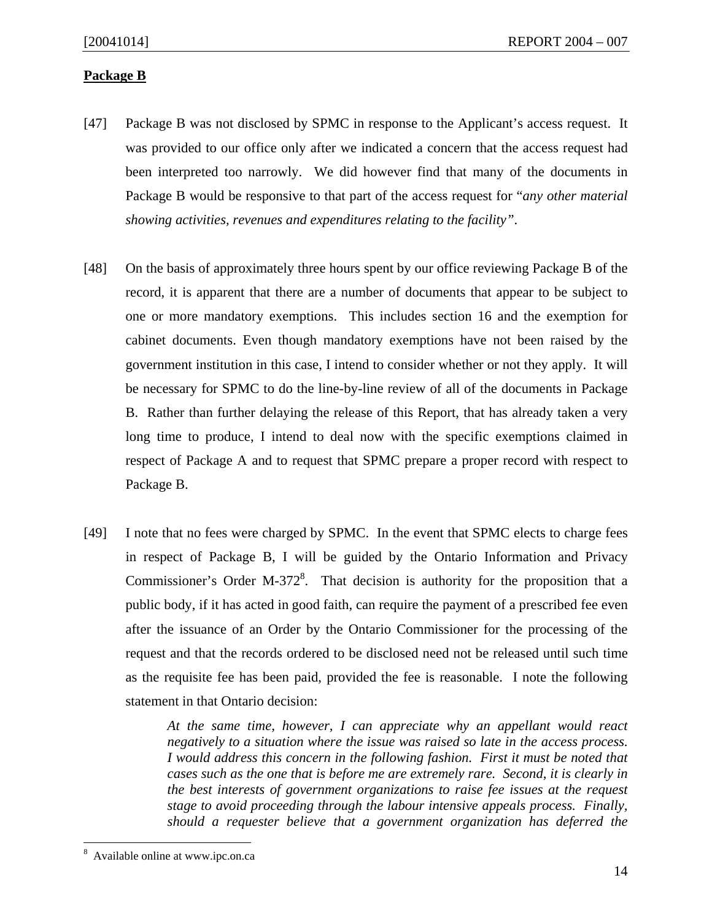### **Package B**

- [47] Package B was not disclosed by SPMC in response to the Applicant's access request. It was provided to our office only after we indicated a concern that the access request had been interpreted too narrowly. We did however find that many of the documents in Package B would be responsive to that part of the access request for "*any other material showing activities, revenues and expenditures relating to the facility"*.
- [48] On the basis of approximately three hours spent by our office reviewing Package B of the record, it is apparent that there are a number of documents that appear to be subject to one or more mandatory exemptions. This includes section 16 and the exemption for cabinet documents. Even though mandatory exemptions have not been raised by the government institution in this case, I intend to consider whether or not they apply. It will be necessary for SPMC to do the line-by-line review of all of the documents in Package B. Rather than further delaying the release of this Report, that has already taken a very long time to produce, I intend to deal now with the specific exemptions claimed in respect of Package A and to request that SPMC prepare a proper record with respect to Package B.
- [49] I note that no fees were charged by SPMC. In the event that SPMC elects to charge fees in respect of Package B, I will be guided by the Ontario Information and Privacy Commissioner's Order M-372 $\text{\textdegree}$ . That decision is authority for the proposition that a public body, if it has acted in good faith, can require the payment of a prescribed fee even after the issuance of an Order by the Ontario Commissioner for the processing of the request and that the records ordered to be disclosed need not be released until such time as the requisite fee has been paid, provided the fee is reasonable. I note the following statement in that Ontario decision:

*At the same time, however, I can appreciate why an appellant would react negatively to a situation where the issue was raised so late in the access process. I would address this concern in the following fashion. First it must be noted that cases such as the one that is before me are extremely rare. Second, it is clearly in the best interests of government organizations to raise fee issues at the request stage to avoid proceeding through the labour intensive appeals process. Finally, should a requester believe that a government organization has deferred the* 

<sup>8</sup> Available online at www.ipc.on.ca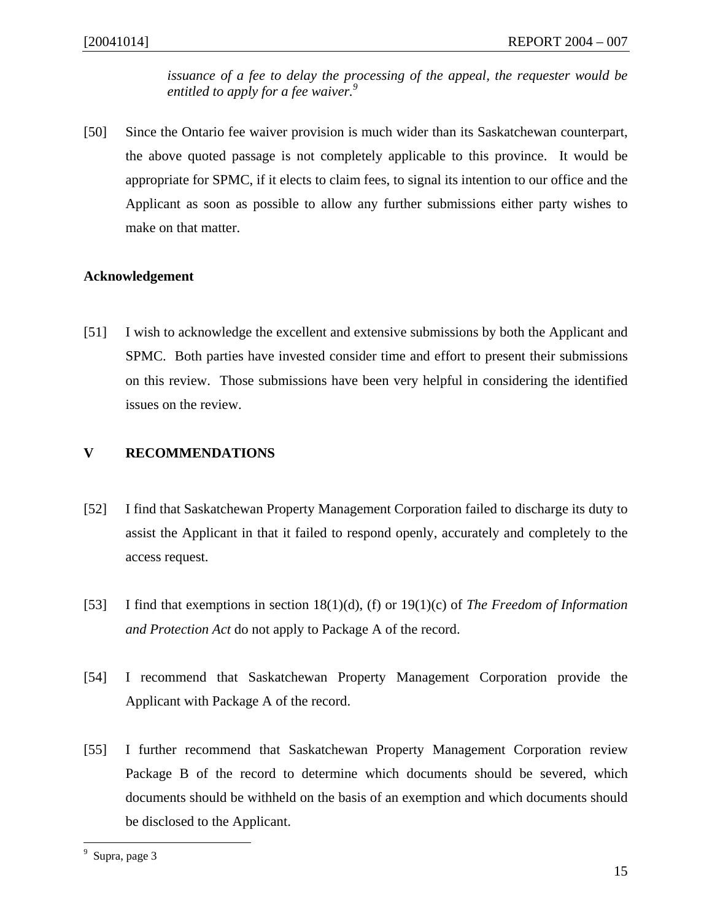*issuance of a fee to delay the processing of the appeal, the requester would be entitled to apply for a fee waiver.9*

[50] Since the Ontario fee waiver provision is much wider than its Saskatchewan counterpart, the above quoted passage is not completely applicable to this province. It would be appropriate for SPMC, if it elects to claim fees, to signal its intention to our office and the Applicant as soon as possible to allow any further submissions either party wishes to make on that matter.

### **Acknowledgement**

[51] I wish to acknowledge the excellent and extensive submissions by both the Applicant and SPMC. Both parties have invested consider time and effort to present their submissions on this review. Those submissions have been very helpful in considering the identified issues on the review.

### **V RECOMMENDATIONS**

- [52] I find that Saskatchewan Property Management Corporation failed to discharge its duty to assist the Applicant in that it failed to respond openly, accurately and completely to the access request.
- [53] I find that exemptions in section 18(1)(d), (f) or 19(1)(c) of *The Freedom of Information and Protection Act* do not apply to Package A of the record.
- [54] I recommend that Saskatchewan Property Management Corporation provide the Applicant with Package A of the record.
- [55] I further recommend that Saskatchewan Property Management Corporation review Package B of the record to determine which documents should be severed, which documents should be withheld on the basis of an exemption and which documents should be disclosed to the Applicant.

<sup>&</sup>lt;sup>9</sup> Supra, page 3